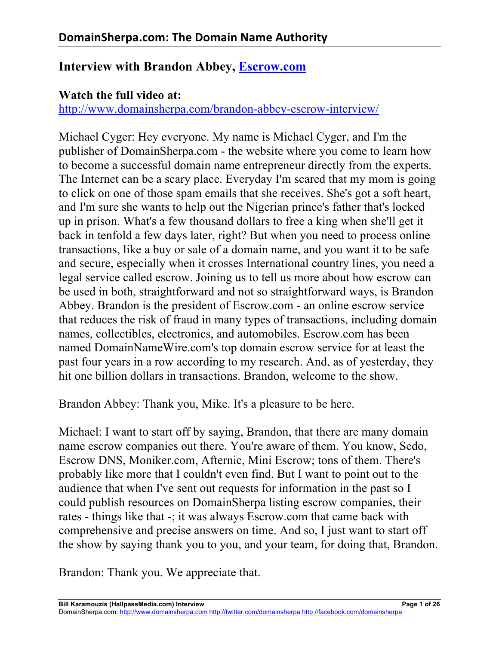# **Interview with Brandon Abbey, Escrow.com**

#### **Watch the full video at:**

http://www.domainsherpa.com/brandon-abbey-escrow-interview/

Michael Cyger: Hey everyone. My name is Michael Cyger, and I'm the publisher of DomainSherpa.com - the website where you come to learn how to become a successful domain name entrepreneur directly from the experts. The Internet can be a scary place. Everyday I'm scared that my mom is going to click on one of those spam emails that she receives. She's got a soft heart, and I'm sure she wants to help out the Nigerian prince's father that's locked up in prison. What's a few thousand dollars to free a king when she'll get it back in tenfold a few days later, right? But when you need to process online transactions, like a buy or sale of a domain name, and you want it to be safe and secure, especially when it crosses International country lines, you need a legal service called escrow. Joining us to tell us more about how escrow can be used in both, straightforward and not so straightforward ways, is Brandon Abbey. Brandon is the president of Escrow.com - an online escrow service that reduces the risk of fraud in many types of transactions, including domain names, collectibles, electronics, and automobiles. Escrow.com has been named DomainNameWire.com's top domain escrow service for at least the past four years in a row according to my research. And, as of yesterday, they hit one billion dollars in transactions. Brandon, welcome to the show.

Brandon Abbey: Thank you, Mike. It's a pleasure to be here.

Michael: I want to start off by saying, Brandon, that there are many domain name escrow companies out there. You're aware of them. You know, Sedo, Escrow DNS, Moniker.com, Afternic, Mini Escrow; tons of them. There's probably like more that I couldn't even find. But I want to point out to the audience that when I've sent out requests for information in the past so I could publish resources on DomainSherpa listing escrow companies, their rates - things like that -; it was always Escrow.com that came back with comprehensive and precise answers on time. And so, I just want to start off the show by saying thank you to you, and your team, for doing that, Brandon.

Brandon: Thank you. We appreciate that.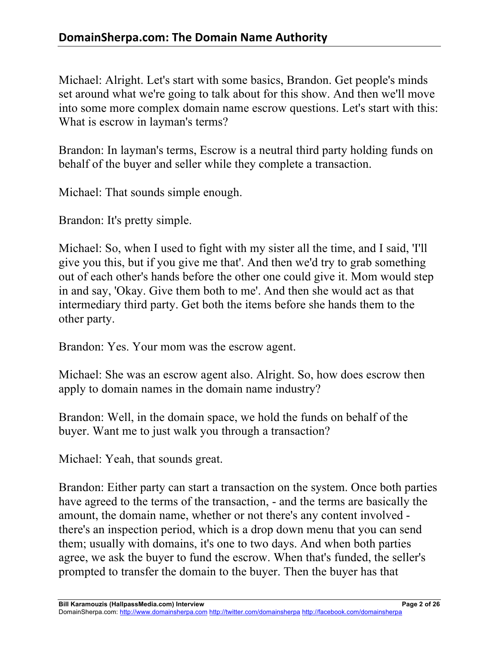Michael: Alright. Let's start with some basics, Brandon. Get people's minds set around what we're going to talk about for this show. And then we'll move into some more complex domain name escrow questions. Let's start with this: What is escrow in layman's terms?

Brandon: In layman's terms, Escrow is a neutral third party holding funds on behalf of the buyer and seller while they complete a transaction.

Michael: That sounds simple enough.

Brandon: It's pretty simple.

Michael: So, when I used to fight with my sister all the time, and I said, 'I'll give you this, but if you give me that'. And then we'd try to grab something out of each other's hands before the other one could give it. Mom would step in and say, 'Okay. Give them both to me'. And then she would act as that intermediary third party. Get both the items before she hands them to the other party.

Brandon: Yes. Your mom was the escrow agent.

Michael: She was an escrow agent also. Alright. So, how does escrow then apply to domain names in the domain name industry?

Brandon: Well, in the domain space, we hold the funds on behalf of the buyer. Want me to just walk you through a transaction?

Michael: Yeah, that sounds great.

Brandon: Either party can start a transaction on the system. Once both parties have agreed to the terms of the transaction, - and the terms are basically the amount, the domain name, whether or not there's any content involved there's an inspection period, which is a drop down menu that you can send them; usually with domains, it's one to two days. And when both parties agree, we ask the buyer to fund the escrow. When that's funded, the seller's prompted to transfer the domain to the buyer. Then the buyer has that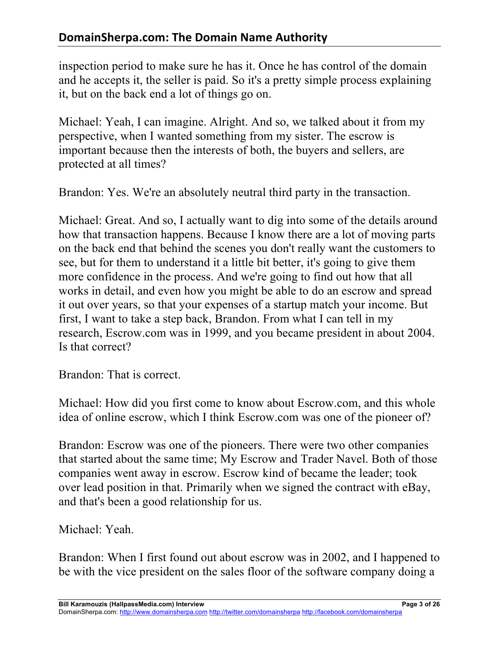inspection period to make sure he has it. Once he has control of the domain and he accepts it, the seller is paid. So it's a pretty simple process explaining it, but on the back end a lot of things go on.

Michael: Yeah, I can imagine. Alright. And so, we talked about it from my perspective, when I wanted something from my sister. The escrow is important because then the interests of both, the buyers and sellers, are protected at all times?

Brandon: Yes. We're an absolutely neutral third party in the transaction.

Michael: Great. And so, I actually want to dig into some of the details around how that transaction happens. Because I know there are a lot of moving parts on the back end that behind the scenes you don't really want the customers to see, but for them to understand it a little bit better, it's going to give them more confidence in the process. And we're going to find out how that all works in detail, and even how you might be able to do an escrow and spread it out over years, so that your expenses of a startup match your income. But first, I want to take a step back, Brandon. From what I can tell in my research, Escrow.com was in 1999, and you became president in about 2004. Is that correct?

Brandon: That is correct.

Michael: How did you first come to know about Escrow.com, and this whole idea of online escrow, which I think Escrow.com was one of the pioneer of?

Brandon: Escrow was one of the pioneers. There were two other companies that started about the same time; My Escrow and Trader Navel. Both of those companies went away in escrow. Escrow kind of became the leader; took over lead position in that. Primarily when we signed the contract with eBay, and that's been a good relationship for us.

Michael: Yeah.

Brandon: When I first found out about escrow was in 2002, and I happened to be with the vice president on the sales floor of the software company doing a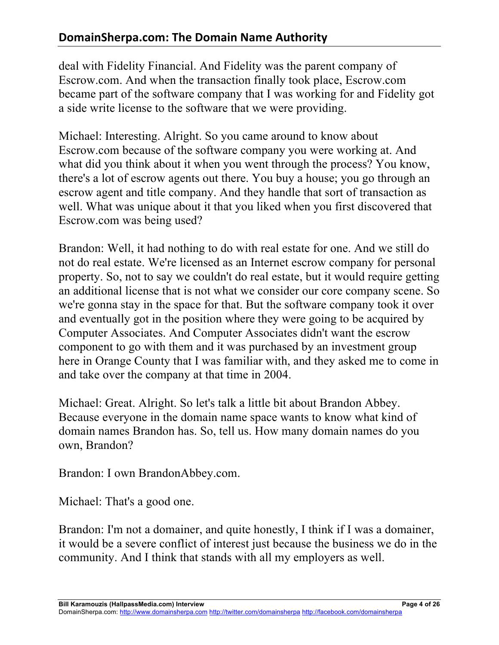deal with Fidelity Financial. And Fidelity was the parent company of Escrow.com. And when the transaction finally took place, Escrow.com became part of the software company that I was working for and Fidelity got a side write license to the software that we were providing.

Michael: Interesting. Alright. So you came around to know about Escrow.com because of the software company you were working at. And what did you think about it when you went through the process? You know, there's a lot of escrow agents out there. You buy a house; you go through an escrow agent and title company. And they handle that sort of transaction as well. What was unique about it that you liked when you first discovered that Escrow.com was being used?

Brandon: Well, it had nothing to do with real estate for one. And we still do not do real estate. We're licensed as an Internet escrow company for personal property. So, not to say we couldn't do real estate, but it would require getting an additional license that is not what we consider our core company scene. So we're gonna stay in the space for that. But the software company took it over and eventually got in the position where they were going to be acquired by Computer Associates. And Computer Associates didn't want the escrow component to go with them and it was purchased by an investment group here in Orange County that I was familiar with, and they asked me to come in and take over the company at that time in 2004.

Michael: Great. Alright. So let's talk a little bit about Brandon Abbey. Because everyone in the domain name space wants to know what kind of domain names Brandon has. So, tell us. How many domain names do you own, Brandon?

Brandon: I own BrandonAbbey.com.

Michael: That's a good one.

Brandon: I'm not a domainer, and quite honestly, I think if I was a domainer, it would be a severe conflict of interest just because the business we do in the community. And I think that stands with all my employers as well.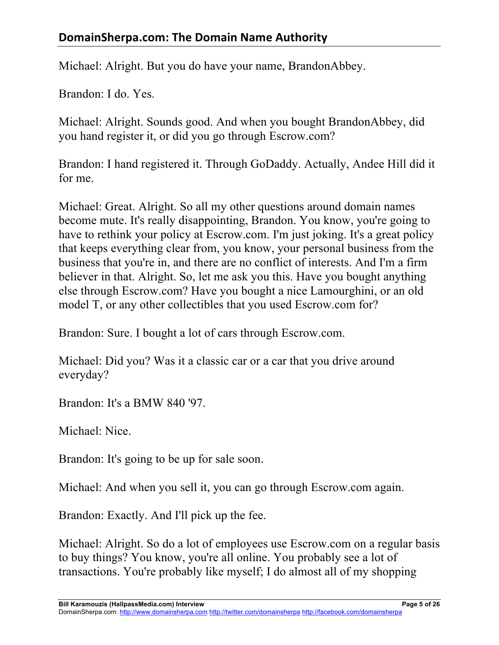Michael: Alright. But you do have your name, BrandonAbbey.

Brandon: I do. Yes.

Michael: Alright. Sounds good. And when you bought BrandonAbbey, did you hand register it, or did you go through Escrow.com?

Brandon: I hand registered it. Through GoDaddy. Actually, Andee Hill did it for me.

Michael: Great. Alright. So all my other questions around domain names become mute. It's really disappointing, Brandon. You know, you're going to have to rethink your policy at Escrow.com. I'm just joking. It's a great policy that keeps everything clear from, you know, your personal business from the business that you're in, and there are no conflict of interests. And I'm a firm believer in that. Alright. So, let me ask you this. Have you bought anything else through Escrow.com? Have you bought a nice Lamourghini, or an old model T, or any other collectibles that you used Escrow.com for?

Brandon: Sure. I bought a lot of cars through Escrow.com.

Michael: Did you? Was it a classic car or a car that you drive around everyday?

Brandon: It's a BMW 840 '97.

Michael: Nice.

Brandon: It's going to be up for sale soon.

Michael: And when you sell it, you can go through Escrow.com again.

Brandon: Exactly. And I'll pick up the fee.

Michael: Alright. So do a lot of employees use Escrow.com on a regular basis to buy things? You know, you're all online. You probably see a lot of transactions. You're probably like myself; I do almost all of my shopping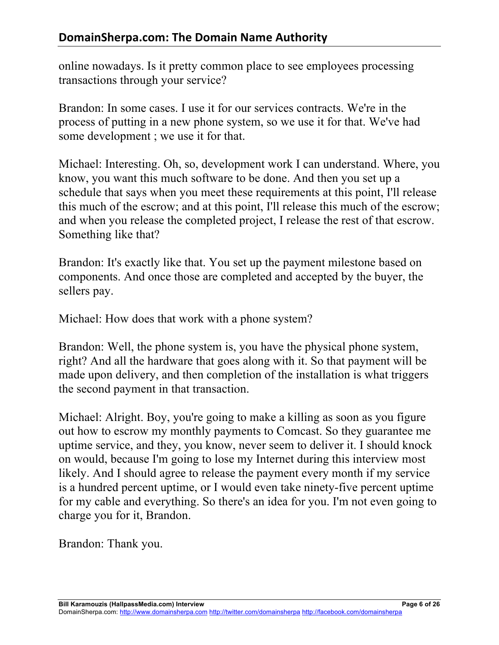online nowadays. Is it pretty common place to see employees processing transactions through your service?

Brandon: In some cases. I use it for our services contracts. We're in the process of putting in a new phone system, so we use it for that. We've had some development ; we use it for that.

Michael: Interesting. Oh, so, development work I can understand. Where, you know, you want this much software to be done. And then you set up a schedule that says when you meet these requirements at this point, I'll release this much of the escrow; and at this point, I'll release this much of the escrow; and when you release the completed project, I release the rest of that escrow. Something like that?

Brandon: It's exactly like that. You set up the payment milestone based on components. And once those are completed and accepted by the buyer, the sellers pay.

Michael: How does that work with a phone system?

Brandon: Well, the phone system is, you have the physical phone system, right? And all the hardware that goes along with it. So that payment will be made upon delivery, and then completion of the installation is what triggers the second payment in that transaction.

Michael: Alright. Boy, you're going to make a killing as soon as you figure out how to escrow my monthly payments to Comcast. So they guarantee me uptime service, and they, you know, never seem to deliver it. I should knock on would, because I'm going to lose my Internet during this interview most likely. And I should agree to release the payment every month if my service is a hundred percent uptime, or I would even take ninety-five percent uptime for my cable and everything. So there's an idea for you. I'm not even going to charge you for it, Brandon.

Brandon: Thank you.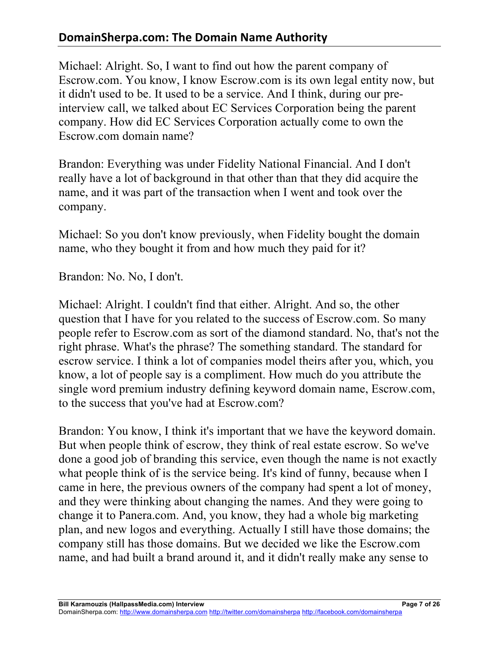# **DomainSherpa.com: The Domain Name Authority**

Michael: Alright. So, I want to find out how the parent company of Escrow.com. You know, I know Escrow.com is its own legal entity now, but it didn't used to be. It used to be a service. And I think, during our preinterview call, we talked about EC Services Corporation being the parent company. How did EC Services Corporation actually come to own the Escrow.com domain name?

Brandon: Everything was under Fidelity National Financial. And I don't really have a lot of background in that other than that they did acquire the name, and it was part of the transaction when I went and took over the company.

Michael: So you don't know previously, when Fidelity bought the domain name, who they bought it from and how much they paid for it?

Brandon: No. No, I don't.

Michael: Alright. I couldn't find that either. Alright. And so, the other question that I have for you related to the success of Escrow.com. So many people refer to Escrow.com as sort of the diamond standard. No, that's not the right phrase. What's the phrase? The something standard. The standard for escrow service. I think a lot of companies model theirs after you, which, you know, a lot of people say is a compliment. How much do you attribute the single word premium industry defining keyword domain name, Escrow.com, to the success that you've had at Escrow.com?

Brandon: You know, I think it's important that we have the keyword domain. But when people think of escrow, they think of real estate escrow. So we've done a good job of branding this service, even though the name is not exactly what people think of is the service being. It's kind of funny, because when I came in here, the previous owners of the company had spent a lot of money, and they were thinking about changing the names. And they were going to change it to Panera.com. And, you know, they had a whole big marketing plan, and new logos and everything. Actually I still have those domains; the company still has those domains. But we decided we like the Escrow.com name, and had built a brand around it, and it didn't really make any sense to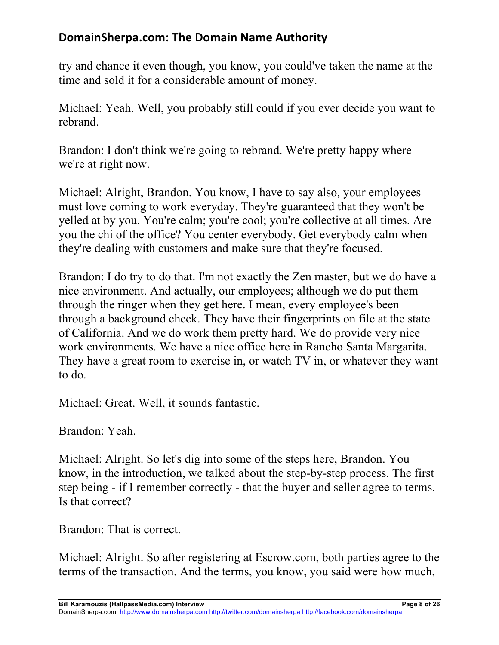try and chance it even though, you know, you could've taken the name at the time and sold it for a considerable amount of money.

Michael: Yeah. Well, you probably still could if you ever decide you want to rebrand.

Brandon: I don't think we're going to rebrand. We're pretty happy where we're at right now.

Michael: Alright, Brandon. You know, I have to say also, your employees must love coming to work everyday. They're guaranteed that they won't be yelled at by you. You're calm; you're cool; you're collective at all times. Are you the chi of the office? You center everybody. Get everybody calm when they're dealing with customers and make sure that they're focused.

Brandon: I do try to do that. I'm not exactly the Zen master, but we do have a nice environment. And actually, our employees; although we do put them through the ringer when they get here. I mean, every employee's been through a background check. They have their fingerprints on file at the state of California. And we do work them pretty hard. We do provide very nice work environments. We have a nice office here in Rancho Santa Margarita. They have a great room to exercise in, or watch TV in, or whatever they want to do.

Michael: Great. Well, it sounds fantastic.

Brandon: Yeah.

Michael: Alright. So let's dig into some of the steps here, Brandon. You know, in the introduction, we talked about the step-by-step process. The first step being - if I remember correctly - that the buyer and seller agree to terms. Is that correct?

Brandon: That is correct.

Michael: Alright. So after registering at Escrow.com, both parties agree to the terms of the transaction. And the terms, you know, you said were how much,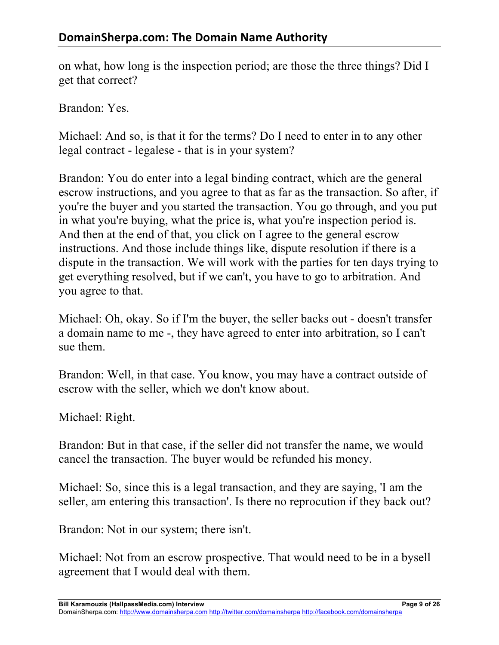on what, how long is the inspection period; are those the three things? Did I get that correct?

Brandon: Yes.

Michael: And so, is that it for the terms? Do I need to enter in to any other legal contract - legalese - that is in your system?

Brandon: You do enter into a legal binding contract, which are the general escrow instructions, and you agree to that as far as the transaction. So after, if you're the buyer and you started the transaction. You go through, and you put in what you're buying, what the price is, what you're inspection period is. And then at the end of that, you click on I agree to the general escrow instructions. And those include things like, dispute resolution if there is a dispute in the transaction. We will work with the parties for ten days trying to get everything resolved, but if we can't, you have to go to arbitration. And you agree to that.

Michael: Oh, okay. So if I'm the buyer, the seller backs out - doesn't transfer a domain name to me -, they have agreed to enter into arbitration, so I can't sue them.

Brandon: Well, in that case. You know, you may have a contract outside of escrow with the seller, which we don't know about.

Michael: Right.

Brandon: But in that case, if the seller did not transfer the name, we would cancel the transaction. The buyer would be refunded his money.

Michael: So, since this is a legal transaction, and they are saying, 'I am the seller, am entering this transaction'. Is there no reprocution if they back out?

Brandon: Not in our system; there isn't.

Michael: Not from an escrow prospective. That would need to be in a bysell agreement that I would deal with them.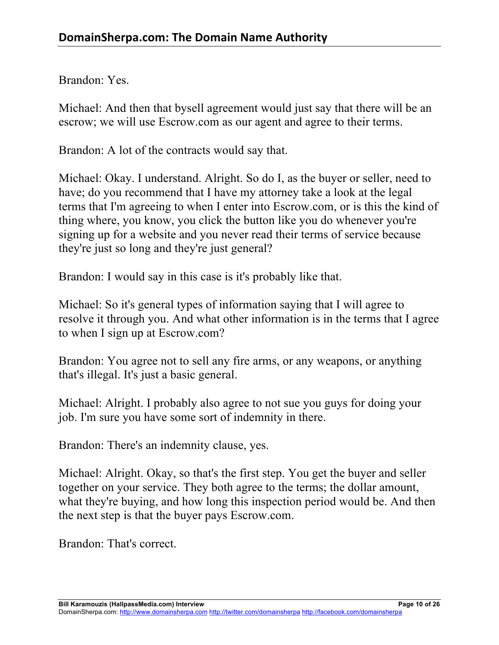Brandon: Yes.

Michael: And then that bysell agreement would just say that there will be an escrow; we will use Escrow.com as our agent and agree to their terms.

Brandon: A lot of the contracts would say that.

Michael: Okay. I understand. Alright. So do I, as the buyer or seller, need to have; do you recommend that I have my attorney take a look at the legal terms that I'm agreeing to when I enter into Escrow.com, or is this the kind of thing where, you know, you click the button like you do whenever you're signing up for a website and you never read their terms of service because they're just so long and they're just general?

Brandon: I would say in this case is it's probably like that.

Michael: So it's general types of information saying that I will agree to resolve it through you. And what other information is in the terms that I agree to when I sign up at Escrow.com?

Brandon: You agree not to sell any fire arms, or any weapons, or anything that's illegal. It's just a basic general.

Michael: Alright. I probably also agree to not sue you guys for doing your job. I'm sure you have some sort of indemnity in there.

Brandon: There's an indemnity clause, yes.

Michael: Alright. Okay, so that's the first step. You get the buyer and seller together on your service. They both agree to the terms; the dollar amount, what they're buying, and how long this inspection period would be. And then the next step is that the buyer pays Escrow.com.

Brandon: That's correct.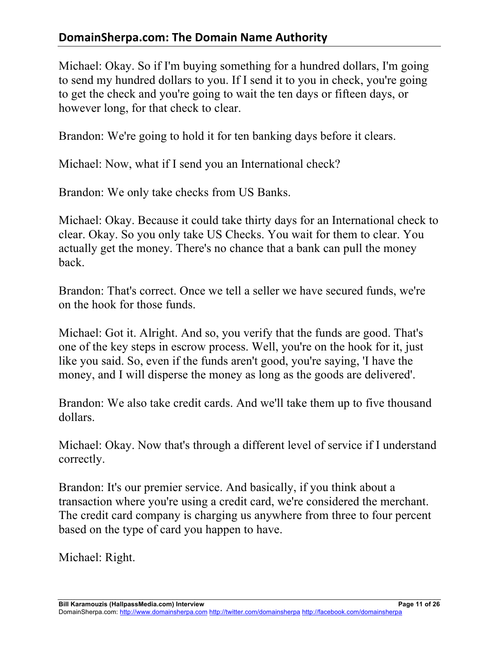# **DomainSherpa.com: The Domain Name Authority**

Michael: Okay. So if I'm buying something for a hundred dollars, I'm going to send my hundred dollars to you. If I send it to you in check, you're going to get the check and you're going to wait the ten days or fifteen days, or however long, for that check to clear.

Brandon: We're going to hold it for ten banking days before it clears.

Michael: Now, what if I send you an International check?

Brandon: We only take checks from US Banks.

Michael: Okay. Because it could take thirty days for an International check to clear. Okay. So you only take US Checks. You wait for them to clear. You actually get the money. There's no chance that a bank can pull the money back.

Brandon: That's correct. Once we tell a seller we have secured funds, we're on the hook for those funds.

Michael: Got it. Alright. And so, you verify that the funds are good. That's one of the key steps in escrow process. Well, you're on the hook for it, just like you said. So, even if the funds aren't good, you're saying, 'I have the money, and I will disperse the money as long as the goods are delivered'.

Brandon: We also take credit cards. And we'll take them up to five thousand dollars.

Michael: Okay. Now that's through a different level of service if I understand correctly.

Brandon: It's our premier service. And basically, if you think about a transaction where you're using a credit card, we're considered the merchant. The credit card company is charging us anywhere from three to four percent based on the type of card you happen to have.

Michael: Right.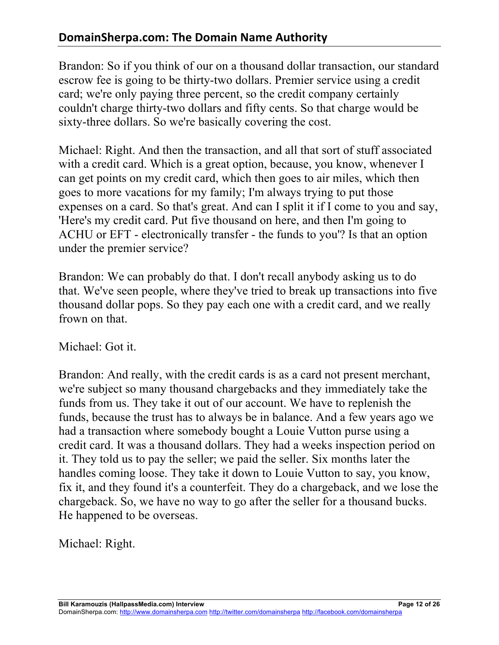Brandon: So if you think of our on a thousand dollar transaction, our standard escrow fee is going to be thirty-two dollars. Premier service using a credit card; we're only paying three percent, so the credit company certainly couldn't charge thirty-two dollars and fifty cents. So that charge would be sixty-three dollars. So we're basically covering the cost.

Michael: Right. And then the transaction, and all that sort of stuff associated with a credit card. Which is a great option, because, you know, whenever I can get points on my credit card, which then goes to air miles, which then goes to more vacations for my family; I'm always trying to put those expenses on a card. So that's great. And can I split it if I come to you and say, 'Here's my credit card. Put five thousand on here, and then I'm going to ACHU or EFT - electronically transfer - the funds to you'? Is that an option under the premier service?

Brandon: We can probably do that. I don't recall anybody asking us to do that. We've seen people, where they've tried to break up transactions into five thousand dollar pops. So they pay each one with a credit card, and we really frown on that.

Michael: Got it.

Brandon: And really, with the credit cards is as a card not present merchant, we're subject so many thousand chargebacks and they immediately take the funds from us. They take it out of our account. We have to replenish the funds, because the trust has to always be in balance. And a few years ago we had a transaction where somebody bought a Louie Vutton purse using a credit card. It was a thousand dollars. They had a weeks inspection period on it. They told us to pay the seller; we paid the seller. Six months later the handles coming loose. They take it down to Louie Vutton to say, you know, fix it, and they found it's a counterfeit. They do a chargeback, and we lose the chargeback. So, we have no way to go after the seller for a thousand bucks. He happened to be overseas.

Michael: Right.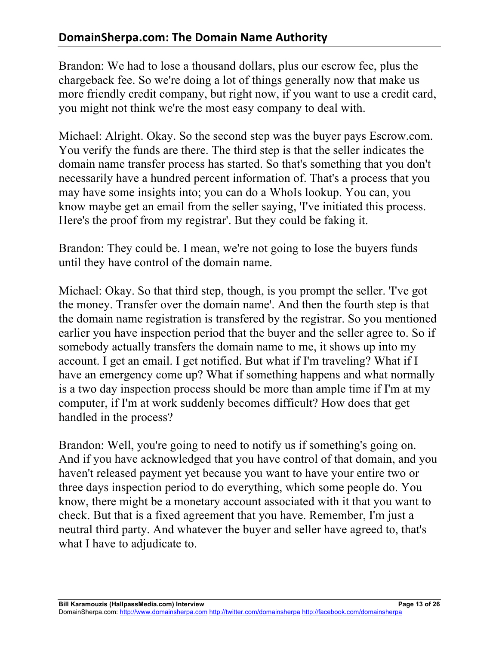Brandon: We had to lose a thousand dollars, plus our escrow fee, plus the chargeback fee. So we're doing a lot of things generally now that make us more friendly credit company, but right now, if you want to use a credit card, you might not think we're the most easy company to deal with.

Michael: Alright. Okay. So the second step was the buyer pays Escrow.com. You verify the funds are there. The third step is that the seller indicates the domain name transfer process has started. So that's something that you don't necessarily have a hundred percent information of. That's a process that you may have some insights into; you can do a WhoIs lookup. You can, you know maybe get an email from the seller saying, 'I've initiated this process. Here's the proof from my registrar'. But they could be faking it.

Brandon: They could be. I mean, we're not going to lose the buyers funds until they have control of the domain name.

Michael: Okay. So that third step, though, is you prompt the seller. 'I've got the money. Transfer over the domain name'. And then the fourth step is that the domain name registration is transfered by the registrar. So you mentioned earlier you have inspection period that the buyer and the seller agree to. So if somebody actually transfers the domain name to me, it shows up into my account. I get an email. I get notified. But what if I'm traveling? What if I have an emergency come up? What if something happens and what normally is a two day inspection process should be more than ample time if I'm at my computer, if I'm at work suddenly becomes difficult? How does that get handled in the process?

Brandon: Well, you're going to need to notify us if something's going on. And if you have acknowledged that you have control of that domain, and you haven't released payment yet because you want to have your entire two or three days inspection period to do everything, which some people do. You know, there might be a monetary account associated with it that you want to check. But that is a fixed agreement that you have. Remember, I'm just a neutral third party. And whatever the buyer and seller have agreed to, that's what I have to adjudicate to.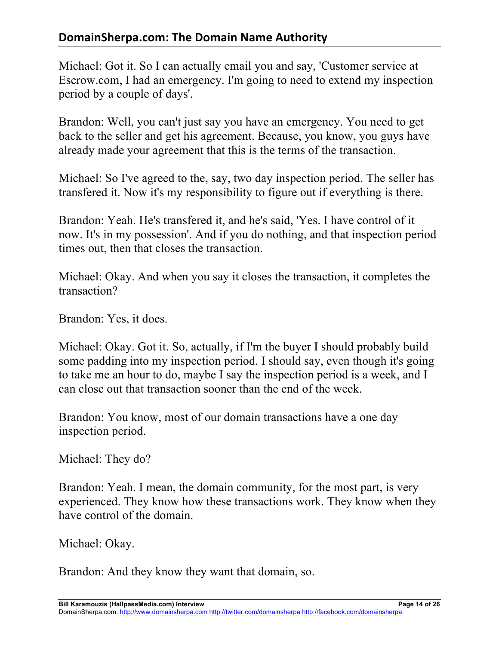Michael: Got it. So I can actually email you and say, 'Customer service at Escrow.com, I had an emergency. I'm going to need to extend my inspection period by a couple of days'.

Brandon: Well, you can't just say you have an emergency. You need to get back to the seller and get his agreement. Because, you know, you guys have already made your agreement that this is the terms of the transaction.

Michael: So I've agreed to the, say, two day inspection period. The seller has transfered it. Now it's my responsibility to figure out if everything is there.

Brandon: Yeah. He's transfered it, and he's said, 'Yes. I have control of it now. It's in my possession'. And if you do nothing, and that inspection period times out, then that closes the transaction.

Michael: Okay. And when you say it closes the transaction, it completes the transaction?

Brandon: Yes, it does.

Michael: Okay. Got it. So, actually, if I'm the buyer I should probably build some padding into my inspection period. I should say, even though it's going to take me an hour to do, maybe I say the inspection period is a week, and I can close out that transaction sooner than the end of the week.

Brandon: You know, most of our domain transactions have a one day inspection period.

Michael: They do?

Brandon: Yeah. I mean, the domain community, for the most part, is very experienced. They know how these transactions work. They know when they have control of the domain.

Michael: Okay.

Brandon: And they know they want that domain, so.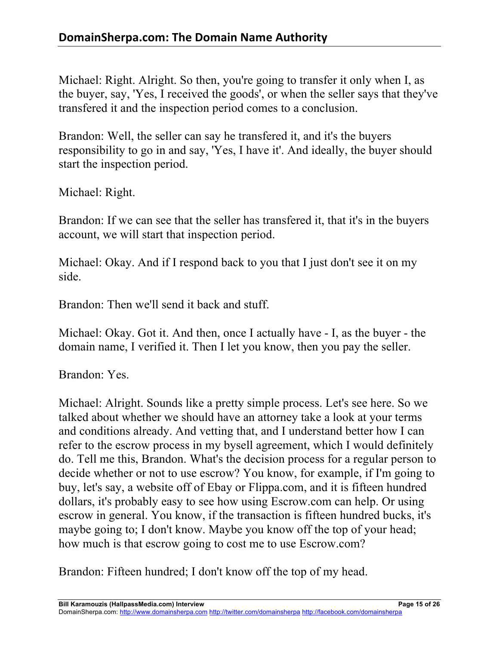Michael: Right. Alright. So then, you're going to transfer it only when I, as the buyer, say, 'Yes, I received the goods', or when the seller says that they've transfered it and the inspection period comes to a conclusion.

Brandon: Well, the seller can say he transfered it, and it's the buyers responsibility to go in and say, 'Yes, I have it'. And ideally, the buyer should start the inspection period.

Michael: Right.

Brandon: If we can see that the seller has transfered it, that it's in the buyers account, we will start that inspection period.

Michael: Okay. And if I respond back to you that I just don't see it on my side.

Brandon: Then we'll send it back and stuff.

Michael: Okay. Got it. And then, once I actually have - I, as the buyer - the domain name, I verified it. Then I let you know, then you pay the seller.

Brandon: Yes.

Michael: Alright. Sounds like a pretty simple process. Let's see here. So we talked about whether we should have an attorney take a look at your terms and conditions already. And vetting that, and I understand better how I can refer to the escrow process in my bysell agreement, which I would definitely do. Tell me this, Brandon. What's the decision process for a regular person to decide whether or not to use escrow? You know, for example, if I'm going to buy, let's say, a website off of Ebay or Flippa.com, and it is fifteen hundred dollars, it's probably easy to see how using Escrow.com can help. Or using escrow in general. You know, if the transaction is fifteen hundred bucks, it's maybe going to; I don't know. Maybe you know off the top of your head; how much is that escrow going to cost me to use Escrow.com?

Brandon: Fifteen hundred; I don't know off the top of my head.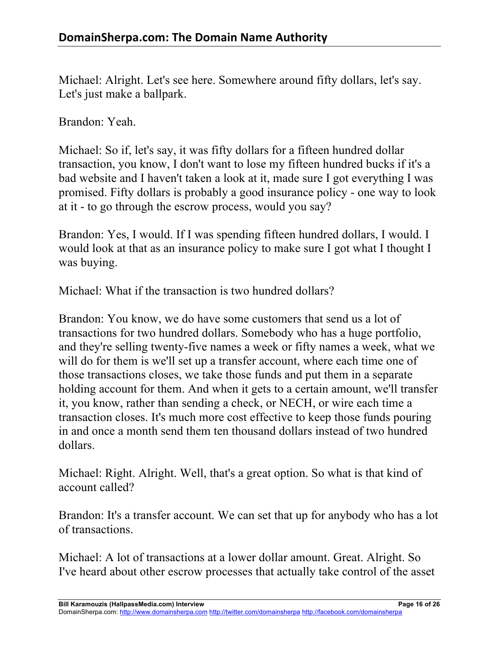Michael: Alright. Let's see here. Somewhere around fifty dollars, let's say. Let's just make a ballpark.

Brandon: Yeah.

Michael: So if, let's say, it was fifty dollars for a fifteen hundred dollar transaction, you know, I don't want to lose my fifteen hundred bucks if it's a bad website and I haven't taken a look at it, made sure I got everything I was promised. Fifty dollars is probably a good insurance policy - one way to look at it - to go through the escrow process, would you say?

Brandon: Yes, I would. If I was spending fifteen hundred dollars, I would. I would look at that as an insurance policy to make sure I got what I thought I was buying.

Michael: What if the transaction is two hundred dollars?

Brandon: You know, we do have some customers that send us a lot of transactions for two hundred dollars. Somebody who has a huge portfolio, and they're selling twenty-five names a week or fifty names a week, what we will do for them is we'll set up a transfer account, where each time one of those transactions closes, we take those funds and put them in a separate holding account for them. And when it gets to a certain amount, we'll transfer it, you know, rather than sending a check, or NECH, or wire each time a transaction closes. It's much more cost effective to keep those funds pouring in and once a month send them ten thousand dollars instead of two hundred dollars.

Michael: Right. Alright. Well, that's a great option. So what is that kind of account called?

Brandon: It's a transfer account. We can set that up for anybody who has a lot of transactions.

Michael: A lot of transactions at a lower dollar amount. Great. Alright. So I've heard about other escrow processes that actually take control of the asset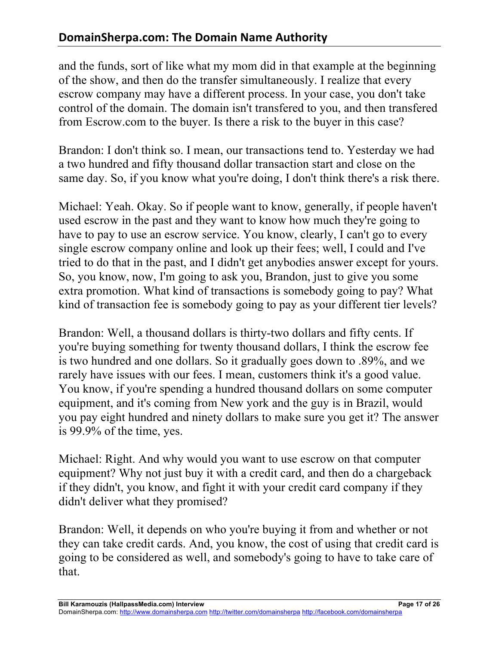and the funds, sort of like what my mom did in that example at the beginning of the show, and then do the transfer simultaneously. I realize that every escrow company may have a different process. In your case, you don't take control of the domain. The domain isn't transfered to you, and then transfered from Escrow.com to the buyer. Is there a risk to the buyer in this case?

Brandon: I don't think so. I mean, our transactions tend to. Yesterday we had a two hundred and fifty thousand dollar transaction start and close on the same day. So, if you know what you're doing, I don't think there's a risk there.

Michael: Yeah. Okay. So if people want to know, generally, if people haven't used escrow in the past and they want to know how much they're going to have to pay to use an escrow service. You know, clearly, I can't go to every single escrow company online and look up their fees; well, I could and I've tried to do that in the past, and I didn't get anybodies answer except for yours. So, you know, now, I'm going to ask you, Brandon, just to give you some extra promotion. What kind of transactions is somebody going to pay? What kind of transaction fee is somebody going to pay as your different tier levels?

Brandon: Well, a thousand dollars is thirty-two dollars and fifty cents. If you're buying something for twenty thousand dollars, I think the escrow fee is two hundred and one dollars. So it gradually goes down to .89%, and we rarely have issues with our fees. I mean, customers think it's a good value. You know, if you're spending a hundred thousand dollars on some computer equipment, and it's coming from New york and the guy is in Brazil, would you pay eight hundred and ninety dollars to make sure you get it? The answer is 99.9% of the time, yes.

Michael: Right. And why would you want to use escrow on that computer equipment? Why not just buy it with a credit card, and then do a chargeback if they didn't, you know, and fight it with your credit card company if they didn't deliver what they promised?

Brandon: Well, it depends on who you're buying it from and whether or not they can take credit cards. And, you know, the cost of using that credit card is going to be considered as well, and somebody's going to have to take care of that.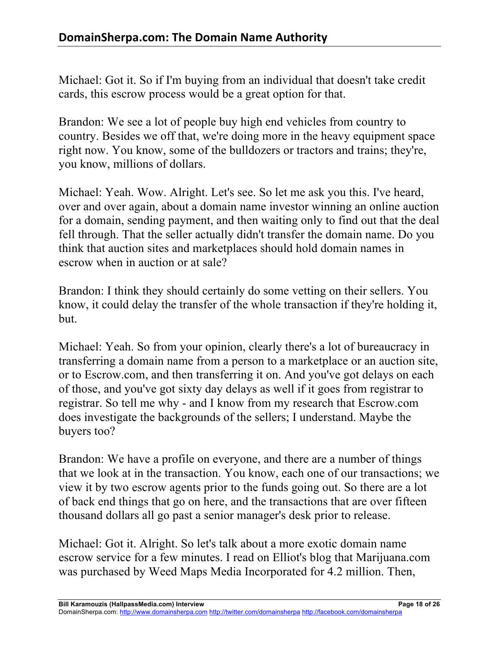Michael: Got it. So if I'm buying from an individual that doesn't take credit cards, this escrow process would be a great option for that.

Brandon: We see a lot of people buy high end vehicles from country to country. Besides we off that, we're doing more in the heavy equipment space right now. You know, some of the bulldozers or tractors and trains; they're, you know, millions of dollars.

Michael: Yeah. Wow. Alright. Let's see. So let me ask you this. I've heard, over and over again, about a domain name investor winning an online auction for a domain, sending payment, and then waiting only to find out that the deal fell through. That the seller actually didn't transfer the domain name. Do you think that auction sites and marketplaces should hold domain names in escrow when in auction or at sale?

Brandon: I think they should certainly do some vetting on their sellers. You know, it could delay the transfer of the whole transaction if they're holding it, but.

Michael: Yeah. So from your opinion, clearly there's a lot of bureaucracy in transferring a domain name from a person to a marketplace or an auction site, or to Escrow.com, and then transferring it on. And you've got delays on each of those, and you've got sixty day delays as well if it goes from registrar to registrar. So tell me why - and I know from my research that Escrow.com does investigate the backgrounds of the sellers; I understand. Maybe the buyers too?

Brandon: We have a profile on everyone, and there are a number of things that we look at in the transaction. You know, each one of our transactions; we view it by two escrow agents prior to the funds going out. So there are a lot of back end things that go on here, and the transactions that are over fifteen thousand dollars all go past a senior manager's desk prior to release.

Michael: Got it. Alright. So let's talk about a more exotic domain name escrow service for a few minutes. I read on Elliot's blog that Marijuana.com was purchased by Weed Maps Media Incorporated for 4.2 million. Then,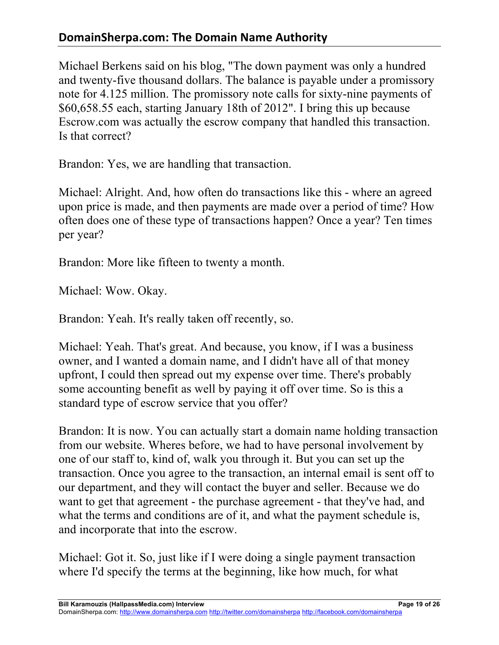## **DomainSherpa.com: The Domain Name Authority**

Michael Berkens said on his blog, "The down payment was only a hundred and twenty-five thousand dollars. The balance is payable under a promissory note for 4.125 million. The promissory note calls for sixty-nine payments of \$60,658.55 each, starting January 18th of 2012". I bring this up because Escrow.com was actually the escrow company that handled this transaction. Is that correct?

Brandon: Yes, we are handling that transaction.

Michael: Alright. And, how often do transactions like this - where an agreed upon price is made, and then payments are made over a period of time? How often does one of these type of transactions happen? Once a year? Ten times per year?

Brandon: More like fifteen to twenty a month.

Michael: Wow. Okay.

Brandon: Yeah. It's really taken off recently, so.

Michael: Yeah. That's great. And because, you know, if I was a business owner, and I wanted a domain name, and I didn't have all of that money upfront, I could then spread out my expense over time. There's probably some accounting benefit as well by paying it off over time. So is this a standard type of escrow service that you offer?

Brandon: It is now. You can actually start a domain name holding transaction from our website. Wheres before, we had to have personal involvement by one of our staff to, kind of, walk you through it. But you can set up the transaction. Once you agree to the transaction, an internal email is sent off to our department, and they will contact the buyer and seller. Because we do want to get that agreement - the purchase agreement - that they've had, and what the terms and conditions are of it, and what the payment schedule is, and incorporate that into the escrow.

Michael: Got it. So, just like if I were doing a single payment transaction where I'd specify the terms at the beginning, like how much, for what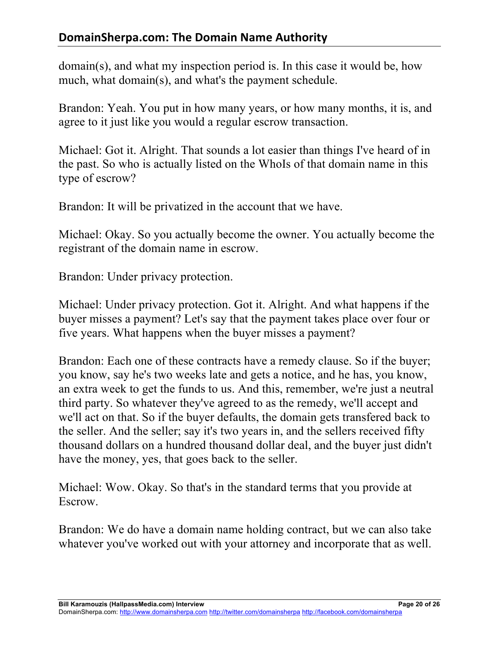# **DomainSherpa.com: The Domain Name Authority**

domain(s), and what my inspection period is. In this case it would be, how much, what domain(s), and what's the payment schedule.

Brandon: Yeah. You put in how many years, or how many months, it is, and agree to it just like you would a regular escrow transaction.

Michael: Got it. Alright. That sounds a lot easier than things I've heard of in the past. So who is actually listed on the WhoIs of that domain name in this type of escrow?

Brandon: It will be privatized in the account that we have.

Michael: Okay. So you actually become the owner. You actually become the registrant of the domain name in escrow.

Brandon: Under privacy protection.

Michael: Under privacy protection. Got it. Alright. And what happens if the buyer misses a payment? Let's say that the payment takes place over four or five years. What happens when the buyer misses a payment?

Brandon: Each one of these contracts have a remedy clause. So if the buyer; you know, say he's two weeks late and gets a notice, and he has, you know, an extra week to get the funds to us. And this, remember, we're just a neutral third party. So whatever they've agreed to as the remedy, we'll accept and we'll act on that. So if the buyer defaults, the domain gets transfered back to the seller. And the seller; say it's two years in, and the sellers received fifty thousand dollars on a hundred thousand dollar deal, and the buyer just didn't have the money, yes, that goes back to the seller.

Michael: Wow. Okay. So that's in the standard terms that you provide at Escrow.

Brandon: We do have a domain name holding contract, but we can also take whatever you've worked out with your attorney and incorporate that as well.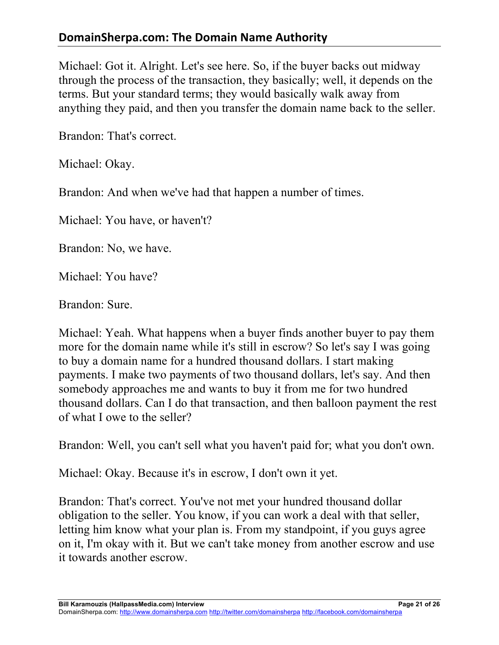Michael: Got it. Alright. Let's see here. So, if the buyer backs out midway through the process of the transaction, they basically; well, it depends on the terms. But your standard terms; they would basically walk away from anything they paid, and then you transfer the domain name back to the seller.

Brandon: That's correct.

Michael: Okay.

Brandon: And when we've had that happen a number of times.

Michael: You have, or haven't?

Brandon: No, we have.

Michael: You have?

Brandon: Sure.

Michael: Yeah. What happens when a buyer finds another buyer to pay them more for the domain name while it's still in escrow? So let's say I was going to buy a domain name for a hundred thousand dollars. I start making payments. I make two payments of two thousand dollars, let's say. And then somebody approaches me and wants to buy it from me for two hundred thousand dollars. Can I do that transaction, and then balloon payment the rest of what I owe to the seller?

Brandon: Well, you can't sell what you haven't paid for; what you don't own.

Michael: Okay. Because it's in escrow, I don't own it yet.

Brandon: That's correct. You've not met your hundred thousand dollar obligation to the seller. You know, if you can work a deal with that seller, letting him know what your plan is. From my standpoint, if you guys agree on it, I'm okay with it. But we can't take money from another escrow and use it towards another escrow.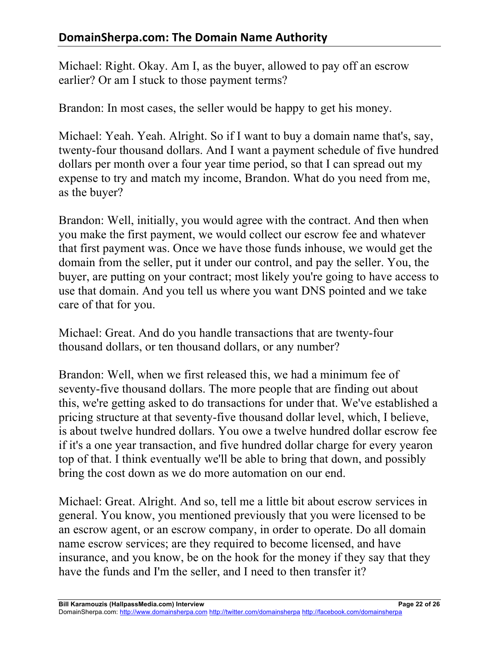Michael: Right. Okay. Am I, as the buyer, allowed to pay off an escrow earlier? Or am I stuck to those payment terms?

Brandon: In most cases, the seller would be happy to get his money.

Michael: Yeah. Yeah. Alright. So if I want to buy a domain name that's, say, twenty-four thousand dollars. And I want a payment schedule of five hundred dollars per month over a four year time period, so that I can spread out my expense to try and match my income, Brandon. What do you need from me, as the buyer?

Brandon: Well, initially, you would agree with the contract. And then when you make the first payment, we would collect our escrow fee and whatever that first payment was. Once we have those funds inhouse, we would get the domain from the seller, put it under our control, and pay the seller. You, the buyer, are putting on your contract; most likely you're going to have access to use that domain. And you tell us where you want DNS pointed and we take care of that for you.

Michael: Great. And do you handle transactions that are twenty-four thousand dollars, or ten thousand dollars, or any number?

Brandon: Well, when we first released this, we had a minimum fee of seventy-five thousand dollars. The more people that are finding out about this, we're getting asked to do transactions for under that. We've established a pricing structure at that seventy-five thousand dollar level, which, I believe, is about twelve hundred dollars. You owe a twelve hundred dollar escrow fee if it's a one year transaction, and five hundred dollar charge for every yearon top of that. I think eventually we'll be able to bring that down, and possibly bring the cost down as we do more automation on our end.

Michael: Great. Alright. And so, tell me a little bit about escrow services in general. You know, you mentioned previously that you were licensed to be an escrow agent, or an escrow company, in order to operate. Do all domain name escrow services; are they required to become licensed, and have insurance, and you know, be on the hook for the money if they say that they have the funds and I'm the seller, and I need to then transfer it?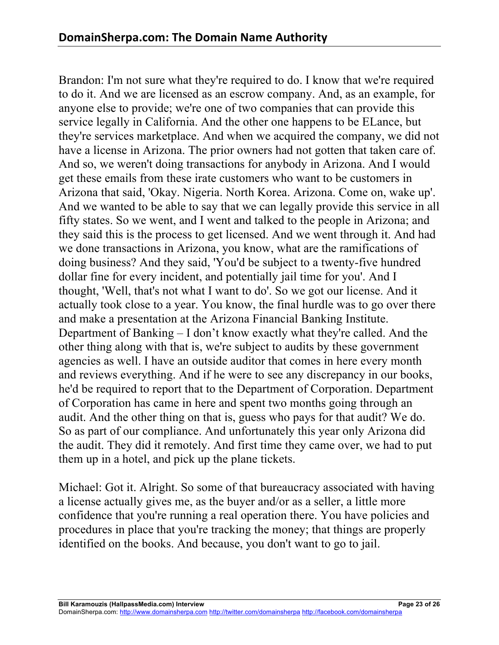Brandon: I'm not sure what they're required to do. I know that we're required to do it. And we are licensed as an escrow company. And, as an example, for anyone else to provide; we're one of two companies that can provide this service legally in California. And the other one happens to be ELance, but they're services marketplace. And when we acquired the company, we did not have a license in Arizona. The prior owners had not gotten that taken care of. And so, we weren't doing transactions for anybody in Arizona. And I would get these emails from these irate customers who want to be customers in Arizona that said, 'Okay. Nigeria. North Korea. Arizona. Come on, wake up'. And we wanted to be able to say that we can legally provide this service in all fifty states. So we went, and I went and talked to the people in Arizona; and they said this is the process to get licensed. And we went through it. And had we done transactions in Arizona, you know, what are the ramifications of doing business? And they said, 'You'd be subject to a twenty-five hundred dollar fine for every incident, and potentially jail time for you'. And I thought, 'Well, that's not what I want to do'. So we got our license. And it actually took close to a year. You know, the final hurdle was to go over there and make a presentation at the Arizona Financial Banking Institute. Department of Banking – I don't know exactly what they're called. And the other thing along with that is, we're subject to audits by these government agencies as well. I have an outside auditor that comes in here every month and reviews everything. And if he were to see any discrepancy in our books, he'd be required to report that to the Department of Corporation. Department of Corporation has came in here and spent two months going through an audit. And the other thing on that is, guess who pays for that audit? We do. So as part of our compliance. And unfortunately this year only Arizona did the audit. They did it remotely. And first time they came over, we had to put them up in a hotel, and pick up the plane tickets.

Michael: Got it. Alright. So some of that bureaucracy associated with having a license actually gives me, as the buyer and/or as a seller, a little more confidence that you're running a real operation there. You have policies and procedures in place that you're tracking the money; that things are properly identified on the books. And because, you don't want to go to jail.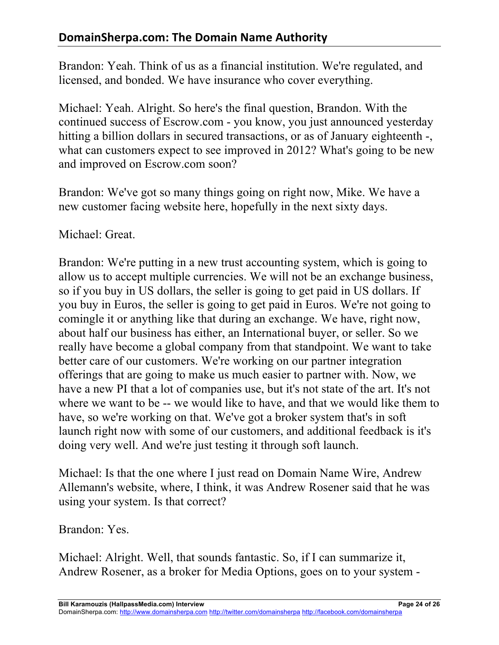Brandon: Yeah. Think of us as a financial institution. We're regulated, and licensed, and bonded. We have insurance who cover everything.

Michael: Yeah. Alright. So here's the final question, Brandon. With the continued success of Escrow.com - you know, you just announced yesterday hitting a billion dollars in secured transactions, or as of January eighteenth -, what can customers expect to see improved in 2012? What's going to be new and improved on Escrow.com soon?

Brandon: We've got so many things going on right now, Mike. We have a new customer facing website here, hopefully in the next sixty days.

Michael: Great.

Brandon: We're putting in a new trust accounting system, which is going to allow us to accept multiple currencies. We will not be an exchange business, so if you buy in US dollars, the seller is going to get paid in US dollars. If you buy in Euros, the seller is going to get paid in Euros. We're not going to comingle it or anything like that during an exchange. We have, right now, about half our business has either, an International buyer, or seller. So we really have become a global company from that standpoint. We want to take better care of our customers. We're working on our partner integration offerings that are going to make us much easier to partner with. Now, we have a new PI that a lot of companies use, but it's not state of the art. It's not where we want to be -- we would like to have, and that we would like them to have, so we're working on that. We've got a broker system that's in soft launch right now with some of our customers, and additional feedback is it's doing very well. And we're just testing it through soft launch.

Michael: Is that the one where I just read on Domain Name Wire, Andrew Allemann's website, where, I think, it was Andrew Rosener said that he was using your system. Is that correct?

Brandon: Yes.

Michael: Alright. Well, that sounds fantastic. So, if I can summarize it, Andrew Rosener, as a broker for Media Options, goes on to your system -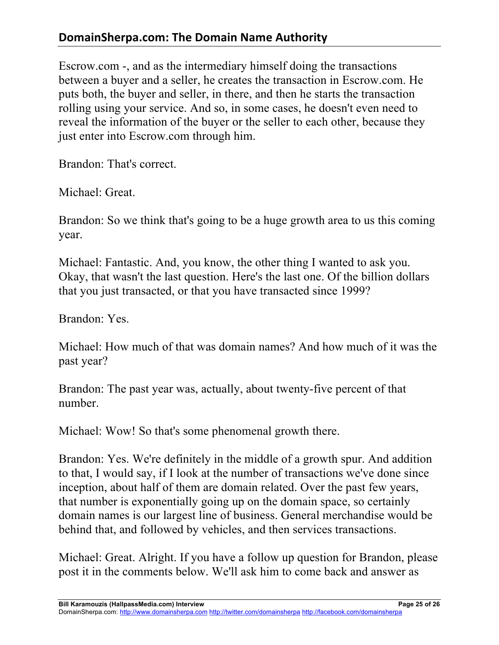# **DomainSherpa.com: The Domain Name Authority**

Escrow.com -, and as the intermediary himself doing the transactions between a buyer and a seller, he creates the transaction in Escrow.com. He puts both, the buyer and seller, in there, and then he starts the transaction rolling using your service. And so, in some cases, he doesn't even need to reveal the information of the buyer or the seller to each other, because they just enter into Escrow.com through him.

Brandon: That's correct.

Michael: Great.

Brandon: So we think that's going to be a huge growth area to us this coming year.

Michael: Fantastic. And, you know, the other thing I wanted to ask you. Okay, that wasn't the last question. Here's the last one. Of the billion dollars that you just transacted, or that you have transacted since 1999?

Brandon: Yes.

Michael: How much of that was domain names? And how much of it was the past year?

Brandon: The past year was, actually, about twenty-five percent of that number.

Michael: Wow! So that's some phenomenal growth there.

Brandon: Yes. We're definitely in the middle of a growth spur. And addition to that, I would say, if I look at the number of transactions we've done since inception, about half of them are domain related. Over the past few years, that number is exponentially going up on the domain space, so certainly domain names is our largest line of business. General merchandise would be behind that, and followed by vehicles, and then services transactions.

Michael: Great. Alright. If you have a follow up question for Brandon, please post it in the comments below. We'll ask him to come back and answer as